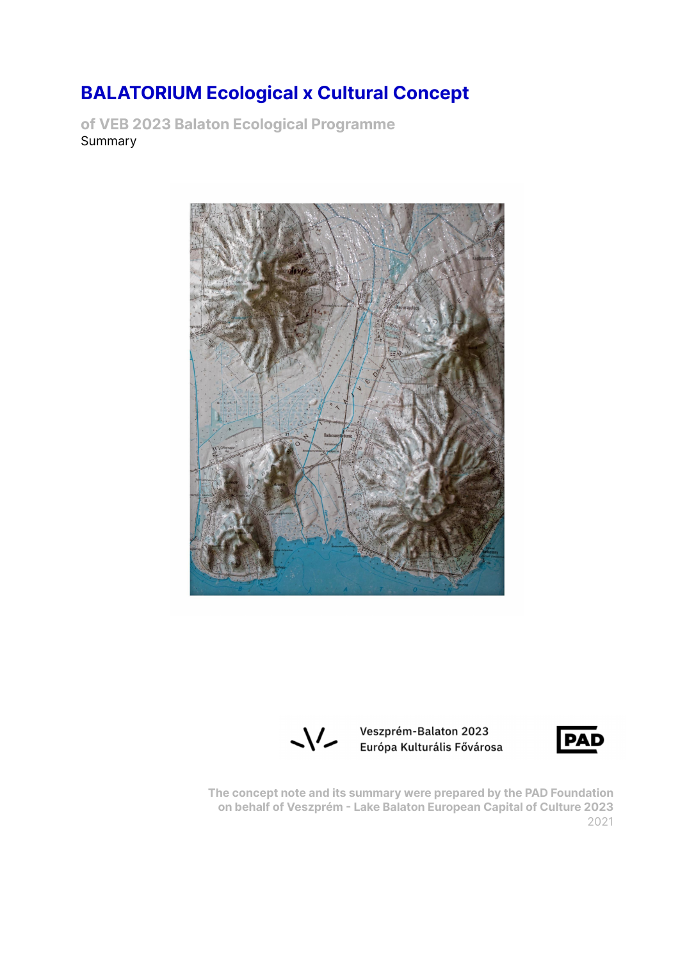# **BALATORIUM Ecological x Cultural Concept**

**of VEB 2023 Balaton Ecological Programme** Summary





Veszprém-Balaton 2023 Európa Kulturális Fővárosa



**The concept note and its summary were prepared by the PAD Foundation on behalf of Veszprém - Lake Balaton European Capital of Culture 2023** 2021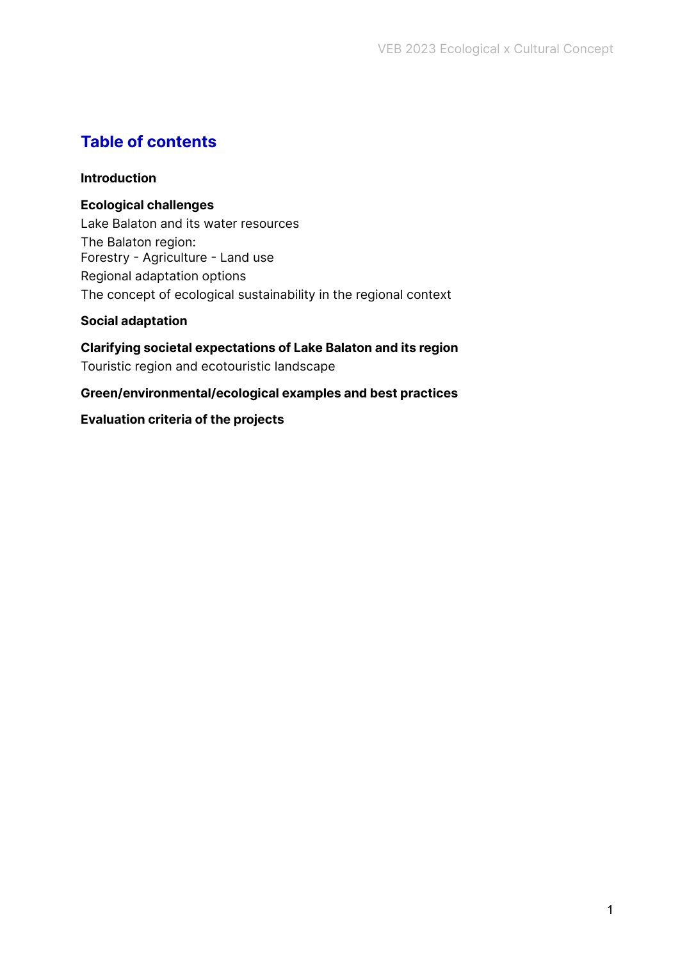# **Table of contents**

## **[Introduction](#page-1-0)**

## **Ecological challenges**

Lake Balaton and its water [resources](#page-3-0) The [Balaton](#page-5-0) region: Forestry - [Agriculture](#page-5-0) - Land use Regional adaptation options The concept of ecological [sustainability](#page-6-0) in the regional context

## **Social [adaptation](#page-8-0)**

**Clarifying societal [expectations](#page-8-1) of Lake Balaton and its region** Touristic region and [ecotouristic](#page-9-0) landscape

## **Green/environmental/ecological examples and best practices**

## <span id="page-1-0"></span>**Evaluation criteria of the projects**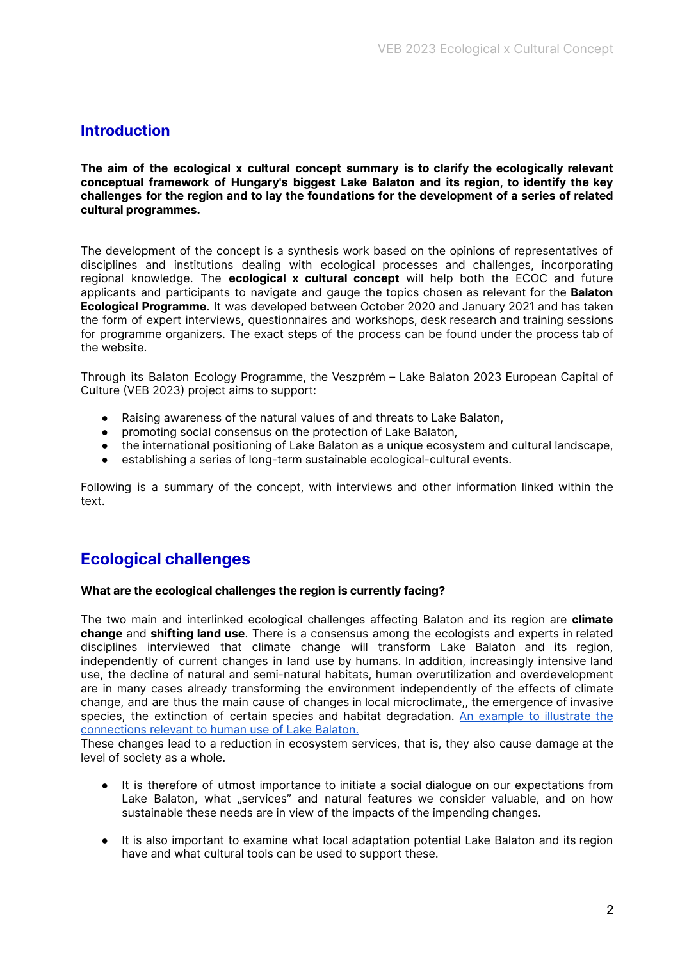## **Introduction**

**The aim of the ecological x cultural concept summary is to clarify the ecologically relevant conceptual framework of Hungary's biggest Lake Balaton and its region, to identify the key challenges for the region and to lay the foundations for the development of a series of related cultural programmes.**

The development of the concept is a synthesis work based on the opinions of representatives of disciplines and institutions dealing with ecological processes and challenges, incorporating regional knowledge. The **ecological x cultural concept** will help both the ECOC and future applicants and participants to navigate and gauge the topics chosen as relevant for the **Balaton Ecological Programme**. It was developed between October 2020 and January 2021 and has taken the form of expert interviews, questionnaires and workshops, desk research and training sessions for programme organizers. The exact steps of the process can be found under the process tab of the website.

Through its Balaton Ecology Programme, the Veszprém – Lake Balaton 2023 European Capital of Culture (VEB 2023) project aims to support:

- Raising awareness of the natural values of and threats to Lake Balaton,
- promoting social consensus on the protection of Lake Balaton,
- the international positioning of Lake Balaton as a unique ecosystem and cultural landscape,
- establishing a series of long-term sustainable ecological-cultural events.

Following is a summary of the concept, with interviews and other information linked within the text.

## **Ecological challenges**

#### **What are the ecological challenges the region is currently facing?**

The two main and interlinked ecological challenges affecting Balaton and its region are **climate change** and **shifting land use**. There is a consensus among the ecologists and experts in related disciplines interviewed that climate change will transform Lake Balaton and its region, independently of current changes in land use by humans. In addition, increasingly intensive land use, the decline of natural and semi-natural habitats, human overutilization and overdevelopment are in many cases already transforming the environment independently of the effects of climate change, and are thus the main cause of changes in local microclimate,, the emergence of invasive species, the extinction of certain species and habitat degradation. An example to [illustrate](https://szabadonbalaton.hu/osszefugges-rendszer_en.html) the [connections](https://szabadonbalaton.hu/osszefugges-rendszer_en.html) relevant to human use of Lake Balaton.

These changes lead to a reduction in ecosystem services, that is, they also cause damage at the level of society as a whole.

- It is therefore of utmost importance to initiate a social dialogue on our expectations from Lake Balaton, what "services" and natural features we consider valuable, and on how sustainable these needs are in view of the impacts of the impending changes.
- It is also important to examine what local adaptation potential Lake Balaton and its region have and what cultural tools can be used to support these.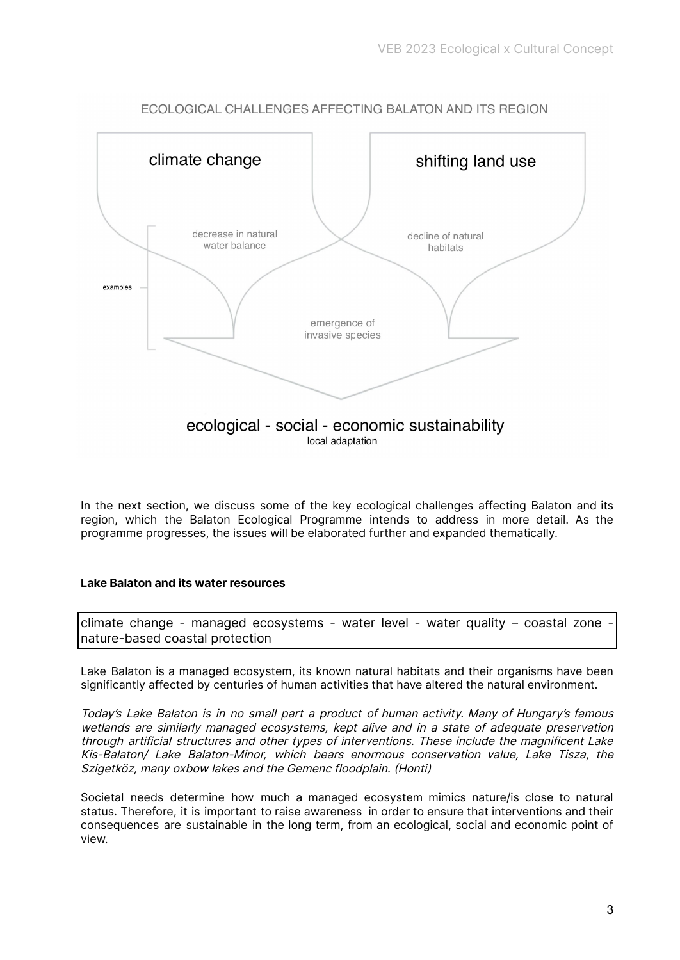

ECOLOGICAL CHALLENGES AFFECTING BALATON AND ITS REGION

local adaptation

In the next section, we discuss some of the key ecological challenges affecting Balaton and its region, which the Balaton Ecological Programme intends to address in more detail. As the programme progresses, the issues will be elaborated further and expanded thematically.

#### <span id="page-3-0"></span>**Lake Balaton and its water resources**

climate change - managed ecosystems - water level - water quality - coastal zone nature-based coastal protection

Lake Balaton is a managed ecosystem, its known natural habitats and their organisms have been significantly affected by centuries of human activities that have altered the natural environment.

Today's Lake Balaton is in no small part <sup>a</sup> product of human activity. Many of Hungary's famous wetlands are similarly managed ecosystems, kept alive and in <sup>a</sup> state of adequate preservation through artificial structures and other types of interventions. These include the magnificent Lake Kis-Balaton/ Lake Balaton-Minor, which bears enormous conservation value, Lake Tisza, the Szigetköz, many oxbow lakes and the Gemenc floodplain. (Honti)

Societal needs determine how much a managed ecosystem mimics nature/is close to natural status. Therefore, it is important to raise awareness in order to ensure that interventions and their consequences are sustainable in the long term, from an ecological, social and economic point of view.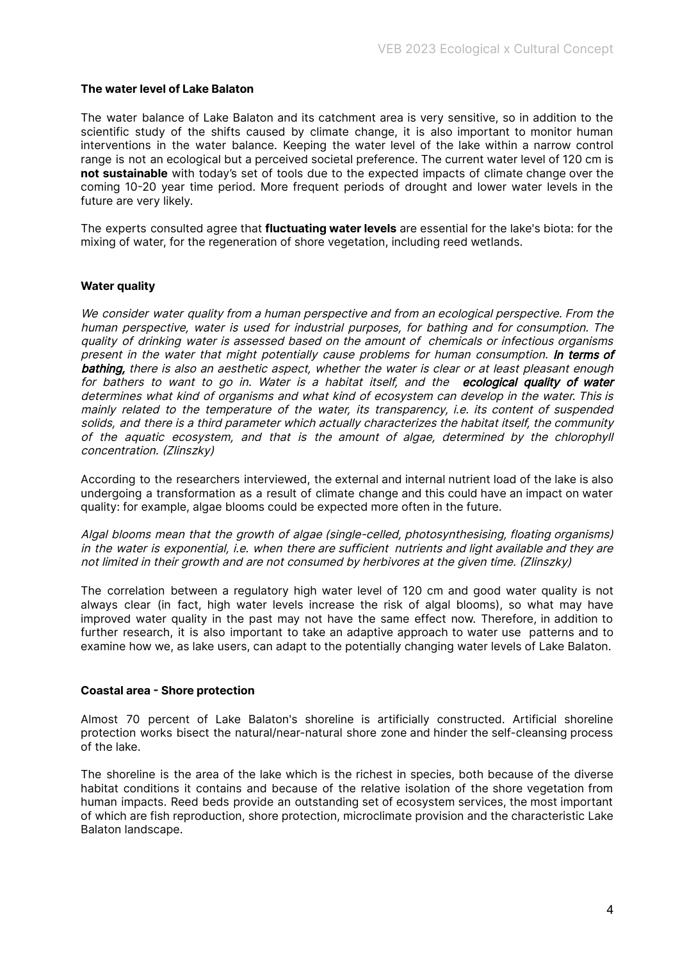#### **The water level of Lake Balaton**

The water balance of Lake Balaton and its catchment area is very sensitive, so in addition to the scientific study of the shifts caused by climate change, it is also important to monitor human interventions in the water balance. Keeping the water level of the lake within a narrow control range is not an ecological but a perceived societal preference. The current water level of 120 cm is **not sustainable** with today's set of tools due to the expected impacts of climate change over the coming 10-20 year time period. More frequent periods of drought and lower water levels in the future are very likely.

The experts consulted agree that **fluctuating water levels** are essential for the lake's biota: for the mixing of water, for the regeneration of shore vegetation, including reed wetlands.

#### **Water quality**

We consider water quality from a human perspective and from an ecological perspective. From the human perspective, water is used for industrial purposes, for bathing and for consumption. The quality of drinking water is assessed based on the amount of chemicals or infectious organisms present in the water that might potentially cause problems for human consumption. In terms of bathing, there is also an aesthetic aspect, whether the water is clear or at least pleasant enough for bathers to want to go in. Water is a habitat itself, and the ecological quality of water determines what kind of organisms and what kind of ecosystem can develop in the water. This is mainly related to the temperature of the water, its transparency, i.e. its content of suspended solids, and there is <sup>a</sup> third parameter which actually characterizes the habitat itself, the community of the aquatic ecosystem, and that is the amount of algae, determined by the chlorophyll concentration. (Zlinszky)

According to the researchers interviewed, the external and internal nutrient load of the lake is also undergoing a transformation as a result of climate change and this could have an impact on water quality: for example, algae blooms could be expected more often in the future.

Algal blooms mean that the growth of algae (single-celled, photosynthesising, floating organisms) in the water is exponential, i.e. when there are sufficient nutrients and light available and they are not limited in their growth and are not consumed by herbivores at the given time. (Zlinszky)

The correlation between a regulatory high water level of 120 cm and good water quality is not always clear (in fact, high water levels increase the risk of algal blooms), so what may have improved water quality in the past may not have the same effect now. Therefore, in addition to further research, it is also important to take an adaptive approach to water use patterns and to examine how we, as lake users, can adapt to the potentially changing water levels of Lake Balaton.

#### **Coastal area - Shore protection**

Almost 70 percent of Lake Balaton's shoreline is artificially constructed. Artificial shoreline protection works bisect the natural/near-natural shore zone and hinder the self-cleansing process of the lake.

The shoreline is the area of the lake which is the richest in species, both because of the diverse habitat conditions it contains and because of the relative isolation of the shore vegetation from human impacts. Reed beds provide an outstanding set of ecosystem services, the most important of which are fish reproduction, shore protection, microclimate provision and the characteristic Lake Balaton landscape.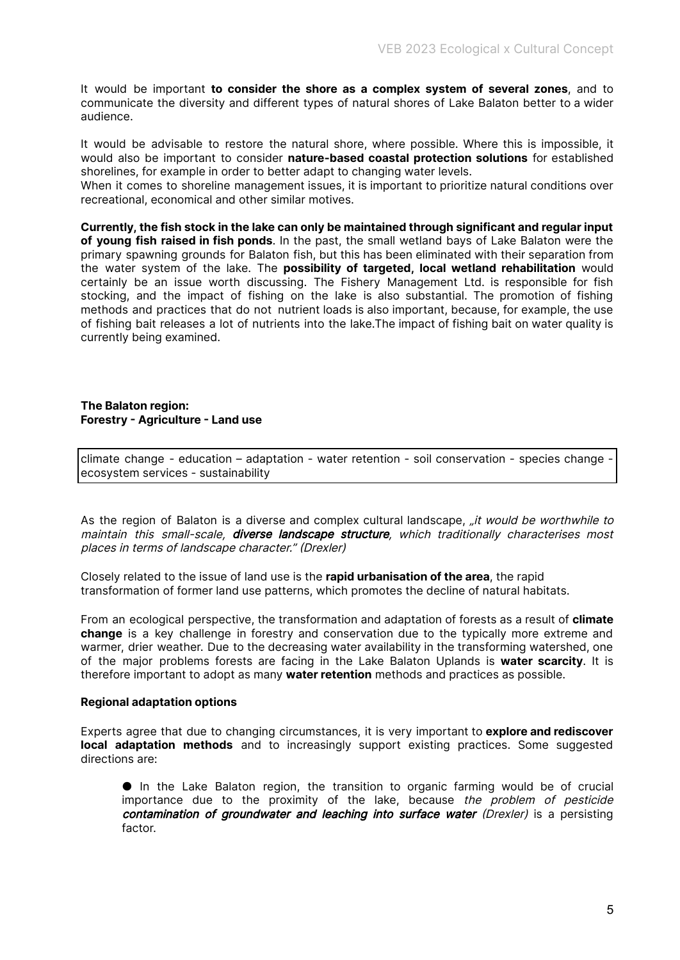It would be important **to consider the shore as a complex system of several zones**, and to communicate the diversity and different types of natural shores of Lake Balaton better to a wider audience.

It would be advisable to restore the natural shore, where possible. Where this is impossible, it would also be important to consider **nature-based coastal protection solutions** for established shorelines, for example in order to better adapt to changing water levels.

When it comes to shoreline management issues, it is important to prioritize natural conditions over recreational, economical and other similar motives.

**Currently, the fish stock in the lake can only be maintained through significant and regular input of young fish raised in fish ponds**. In the past, the small wetland bays of Lake Balaton were the primary spawning grounds for Balaton fish, but this has been eliminated with their separation from the water system of the lake. The **possibility of targeted, local wetland rehabilitation** would certainly be an issue worth discussing. The Fishery Management Ltd. is responsible for fish stocking, and the impact of fishing on the lake is also substantial. The promotion of fishing methods and practices that do not nutrient loads is also important, because, for example, the use of fishing bait releases a lot of nutrients into the lake.The impact of fishing bait on water quality is currently being examined.

#### <span id="page-5-0"></span>**The Balaton region: Forestry - Agriculture - Land use**

climate change - education – adaptation - water retention - soil conservation - species change ecosystem services - sustainability

As the region of Balaton is a diverse and complex cultural landscape, *fit would be worthwhile to* maintain this small-scale, **diverse landscape structure**, which traditionally characterises most places in terms of landscape character." (Drexler)

Closely related to the issue of land use is the **rapid urbanisation of the area**, the rapid transformation of former land use patterns, which promotes the decline of natural habitats.

From an ecological perspective, the transformation and adaptation of forests as a result of **climate change** is a key challenge in forestry and conservation due to the typically more extreme and warmer, drier weather. Due to the decreasing water availability in the transforming watershed, one of the major problems forests are facing in the Lake Balaton Uplands is **water scarcity**. It is therefore important to adopt as many **water retention** methods and practices as possible.

#### **Regional adaptation options**

Experts agree that due to changing circumstances, it is very important to **explore and rediscover local adaptation methods** and to increasingly support existing practices. Some suggested directions are:

● In the Lake Balaton region, the transition to organic farming would be of crucial importance due to the proximity of the lake, because the problem of pesticide contamination of groundwater and leaching into surface water (Drexler) is a persisting factor.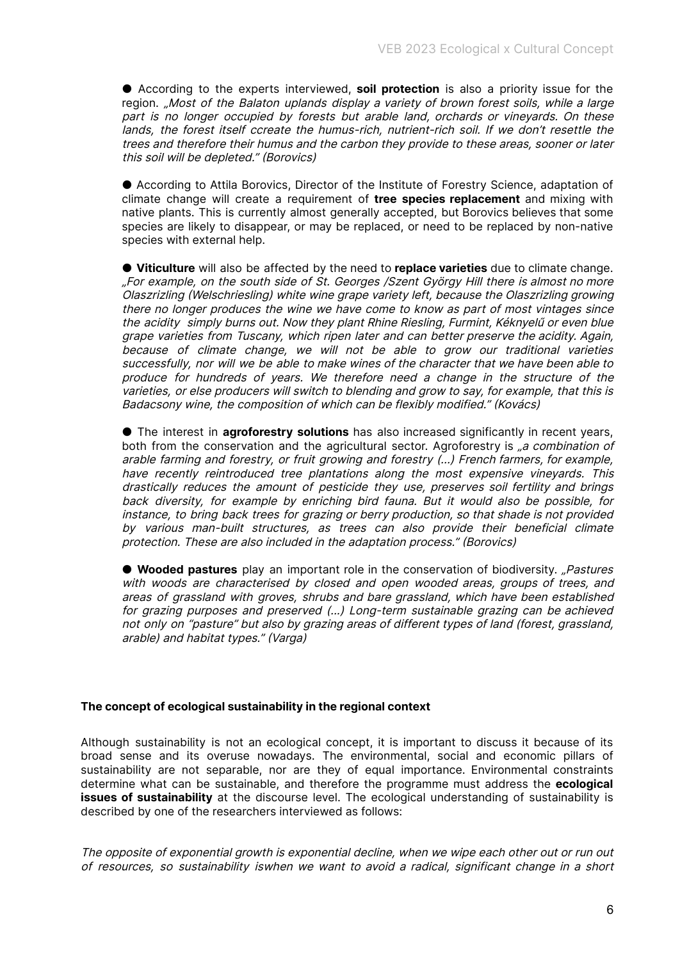● According to the experts interviewed, **soil protection** is also a priority issue for the region. "Most of the Balaton uplands display a variety of brown forest soils, while a large part is no longer occupied by forests but arable land, orchards or vineyards. On these lands, the forest itself ccreate the humus-rich, nutrient-rich soil. If we don't resettle the trees and therefore their humus and the carbon they provide to these areas, sooner or later this soil will be depleted." (Borovics)

● According to Attila Borovics, Director of the Institute of Forestry Science, adaptation of climate change will create a requirement of **tree species replacement** and mixing with native plants. This is currently almost generally accepted, but Borovics believes that some species are likely to disappear, or may be replaced, or need to be replaced by non-native species with external help.

● **Viticulture** will also be affected by the need to **replace varieties** due to climate change. "For example, on the south side of St. Georges /Szent György Hill there is almost no more Olaszrizling (Welschriesling) white wine grape variety left, because the Olaszrizling growing there no longer produces the wine we have come to know as part of most vintages since the acidity simply burns out. Now they plant Rhine Riesling, Furmint, Kéknyelű or even blue grape varieties from Tuscany, which ripen later and can better preserve the acidity. Again, because of climate change, we will not be able to grow our traditional varieties successfully, nor will we be able to make wines of the character that we have been able to produce for hundreds of years. We therefore need <sup>a</sup> change in the structure of the varieties, or else producers will switch to blending and grow to say, for example, that this is Badacsony wine, the composition of which can be flexibly modified." (Kovács)

● The interest in **agroforestry solutions** has also increased significantly in recent years, both from the conservation and the agricultural sector. Agroforestry is <sub>n</sub>a combination of arable farming and forestry, or fruit growing and forestry (...) French farmers, for example, have recently reintroduced tree plantations along the most expensive vineyards. This drastically reduces the amount of pesticide they use, preserves soil fertility and brings back diversity, for example by enriching bird fauna. But it would also be possible, for instance, to bring back trees for grazing or berry production, so that shade is not provided by various man-built structures, as trees can also provide their beneficial climate protection. These are also included in the adaptation process." (Borovics)

● **Wooded pastures** play an important role in the conservation of biodiversity. *Pastures* with woods are characterised by closed and open wooded areas, groups of trees, and areas of grassland with groves, shrubs and bare grassland, which have been established for grazing purposes and preserved (...) Long-term sustainable grazing can be achieved not only on "pasture" but also by grazing areas of different types of land (forest, grassland, arable) and habitat types." (Varga)

#### <span id="page-6-0"></span>**The concept of ecological sustainability in the regional context**

Although sustainability is not an ecological concept, it is important to discuss it because of its broad sense and its overuse nowadays. The environmental, social and economic pillars of sustainability are not separable, nor are they of equal importance. Environmental constraints determine what can be sustainable, and therefore the programme must address the **ecological issues of sustainability** at the discourse level. The ecological understanding of sustainability is described by one of the researchers interviewed as follows:

The opposite of exponential growth is exponential decline, when we wipe each other out or run out of resources, so sustainability iswhen we want to avoid <sup>a</sup> radical, significant change in <sup>a</sup> short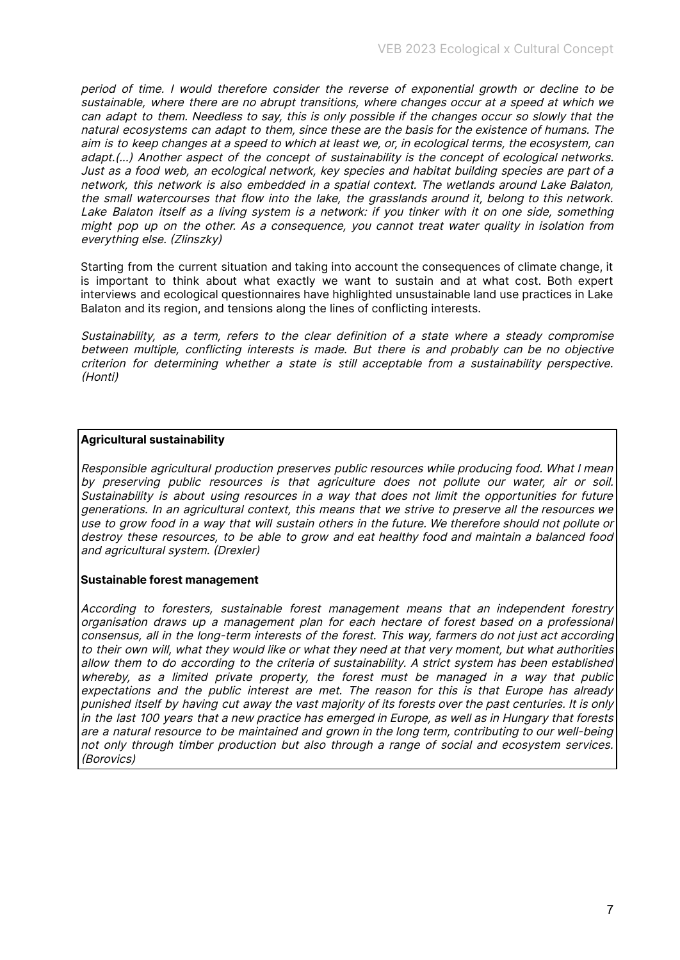period of time. I would therefore consider the reverse of exponential growth or decline to be sustainable, where there are no abrupt transitions, where changes occur at <sup>a</sup> speed at which we can adapt to them. Needless to say, this is only possible if the changes occur so slowly that the natural ecosystems can adapt to them, since these are the basis for the existence of humans. The aim is to keep changes at <sup>a</sup> speed to which at least we, or, in ecological terms, the ecosystem, can adapt.(...) Another aspect of the concept of sustainability is the concept of ecological networks. Just as <sup>a</sup> food web, an ecological network, key species and habitat building species are part of <sup>a</sup> network, this network is also embedded in <sup>a</sup> spatial context. The wetlands around Lake Balaton, the small watercourses that flow into the lake, the grasslands around it, belong to this network. Lake Balaton itself as <sup>a</sup> living system is <sup>a</sup> network: if you tinker with it on one side, something might pop up on the other. As <sup>a</sup> consequence, you cannot treat water quality in isolation from everything else. (Zlinszky)

Starting from the current situation and taking into account the consequences of climate change, it is important to think about what exactly we want to sustain and at what cost. Both expert interviews and ecological questionnaires have highlighted unsustainable land use practices in Lake Balaton and its region, and tensions along the lines of conflicting interests.

Sustainability, as <sup>a</sup> term, refers to the clear definition of <sup>a</sup> state where <sup>a</sup> steady compromise between multiple, conflicting interests is made. But there is and probably can be no objective criterion for determining whether <sup>a</sup> state is still acceptable from <sup>a</sup> sustainability perspective. (Honti)

#### **Agricultural sustainability**

Responsible agricultural production preserves public resources while producing food. What I mean by preserving public resources is that agriculture does not pollute our water, air or soil. Sustainability is about using resources in <sup>a</sup> way that does not limit the opportunities for future generations. In an agricultural context, this means that we strive to preserve all the resources we use to grow food in <sup>a</sup> way that will sustain others in the future. We therefore should not pollute or destroy these resources, to be able to grow and eat healthy food and maintain <sup>a</sup> balanced food and agricultural system. (Drexler)

#### **Sustainable forest management**

According to foresters, sustainable forest management means that an independent forestry organisation draws up <sup>a</sup> management plan for each hectare of forest based on <sup>a</sup> professional consensus, all in the long-term interests of the forest. This way, farmers do not just act according to their own will, what they would like or what they need at that very moment, but what authorities allow them to do according to the criteria of sustainability. A strict system has been established whereby, as <sup>a</sup> limited private property, the forest must be managed in <sup>a</sup> way that public expectations and the public interest are met. The reason for this is that Europe has already punished itself by having cut away the vast majority of its forests over the past centuries. It is only in the last 100 years that <sup>a</sup> new practice has emerged in Europe, as well as in Hungary that forests are <sup>a</sup> natural resource to be maintained and grown in the long term, contributing to our well-being not only through timber production but also through <sup>a</sup> range of social and ecosystem services. (Borovics)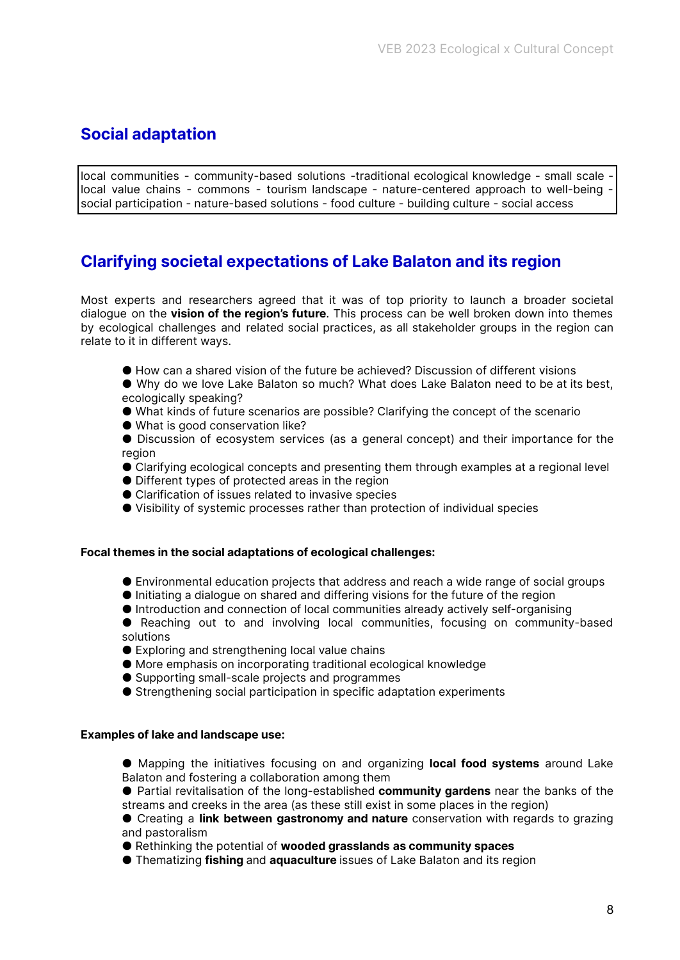## <span id="page-8-0"></span>**Social adaptation**

local communities - community-based solutions -traditional ecological knowledge - small scale local value chains - commons - tourism landscape - nature-centered approach to well-being social participation - nature-based solutions - food culture - building culture - social access

## <span id="page-8-1"></span>**Clarifying societal expectations of Lake Balaton and its region**

Most experts and researchers agreed that it was of top priority to launch a broader societal dialogue on the **vision of the region's future**. This process can be well broken down into themes by ecological challenges and related social practices, as all stakeholder groups in the region can relate to it in different ways.

- How can a shared vision of the future be achieved? Discussion of different visions
- Why do we love Lake Balaton so much? What does Lake Balaton need to be at its best, ecologically speaking?
- What kinds of future scenarios are possible? Clarifying the concept of the scenario
- What is good conservation like?
- Discussion of ecosystem services (as a general concept) and their importance for the region
- Clarifying ecological concepts and presenting them through examples at a regional level
- Different types of protected areas in the region
- Clarification of issues related to invasive species
- Visibility of systemic processes rather than protection of individual species

#### **Focal themes in the social adaptations of ecological challenges:**

- Environmental education projects that address and reach a wide range of social groups
- $\bullet$  Initiating a dialogue on shared and differing visions for the future of the region
- Introduction and connection of local communities already actively self-organising
- Reaching out to and involving local communities, focusing on community-based solutions
- Exploring and strengthening local value chains
- More emphasis on incorporating traditional ecological knowledge
- Supporting small-scale projects and programmes
- Strengthening social participation in specific adaptation experiments

#### **Examples of lake and landscape use:**

- Mapping the initiatives focusing on and organizing **local food systems** around Lake Balaton and fostering a collaboration among them
- Partial revitalisation of the long-established **community gardens** near the banks of the streams and creeks in the area (as these still exist in some places in the region)
- Creating a **link between gastronomy and nature** conservation with regards to grazing and pastoralism
- Rethinking the potential of **wooded grasslands as community spaces**
- Thematizing **fishing** and **aquaculture** issues of Lake Balaton and its region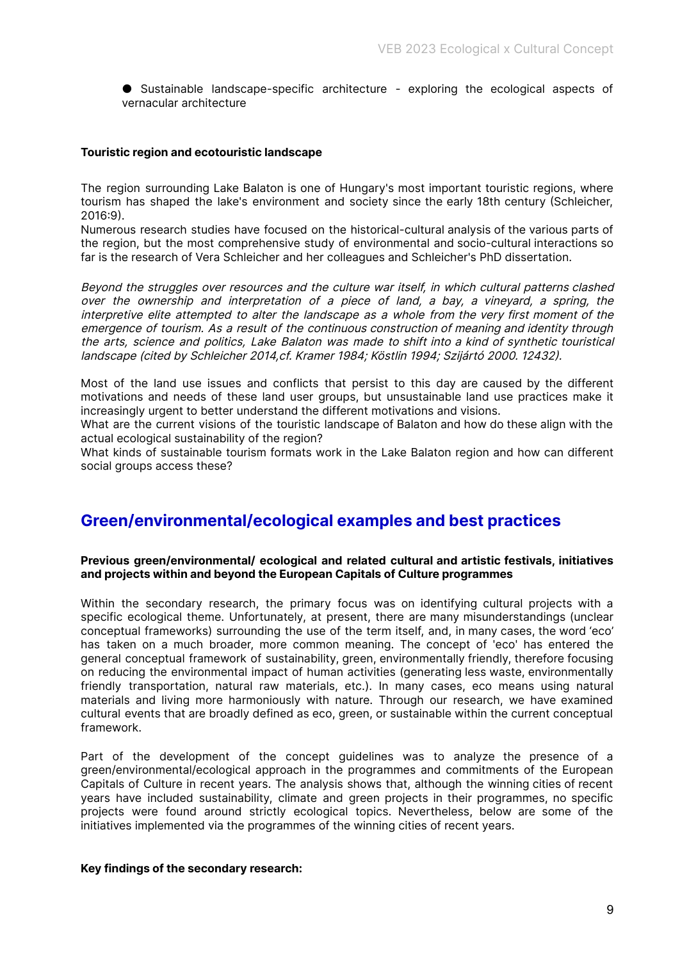● Sustainable landscape-specific architecture - exploring the ecological aspects of vernacular architecture

#### <span id="page-9-0"></span>**Touristic region and ecotouristic landscape**

The region surrounding Lake Balaton is one of Hungary's most important touristic regions, where tourism has shaped the lake's environment and society since the early 18th century (Schleicher, 2016:9).

Numerous research studies have focused on the historical-cultural analysis of the various parts of the region, but the most comprehensive study of environmental and socio-cultural interactions so far is the research of Vera Schleicher and her colleagues and Schleicher's PhD dissertation.

Beyond the struggles over resources and the culture war itself, in which cultural patterns clashed over the ownership and interpretation of <sup>a</sup> piece of land, <sup>a</sup> bay, <sup>a</sup> vineyard, <sup>a</sup> spring, the interpretive elite attempted to alter the landscape as <sup>a</sup> whole from the very first moment of the emergence of tourism. As <sup>a</sup> result of the continuous construction of meaning and identity through the arts, science and politics, Lake Balaton was made to shift into <sup>a</sup> kind of synthetic touristical landscape (cited by Schleicher 2014,cf. Kramer 1984; Köstlin 1994; Szijártó 2000. 12432).

Most of the land use issues and conflicts that persist to this day are caused by the different motivations and needs of these land user groups, but unsustainable land use practices make it increasingly urgent to better understand the different motivations and visions.

What are the current visions of the touristic landscape of Balaton and how do these align with the actual ecological sustainability of the region?

What kinds of sustainable tourism formats work in the Lake Balaton region and how can different social groups access these?

## **Green/environmental/ecological examples and best practices**

#### **Previous green/environmental/ ecological and related cultural and artistic festivals, initiatives and projects within and beyond the European Capitals of Culture programmes**

Within the secondary research, the primary focus was on identifying cultural projects with a specific ecological theme. Unfortunately, at present, there are many misunderstandings (unclear conceptual frameworks) surrounding the use of the term itself, and, in many cases, the word 'eco' has taken on a much broader, more common meaning. The concept of 'eco' has entered the general conceptual framework of sustainability, green, environmentally friendly, therefore focusing on reducing the environmental impact of human activities (generating less waste, environmentally friendly transportation, natural raw materials, etc.). In many cases, eco means using natural materials and living more harmoniously with nature. Through our research, we have examined cultural events that are broadly defined as eco, green, or sustainable within the current conceptual framework.

Part of the development of the concept guidelines was to analyze the presence of a green/environmental/ecological approach in the programmes and commitments of the European Capitals of Culture in recent years. The analysis shows that, although the winning cities of recent years have included sustainability, climate and green projects in their programmes, no specific projects were found around strictly ecological topics. Nevertheless, below are some of the initiatives implemented via the programmes of the winning cities of recent years.

#### **Key findings of the secondary research:**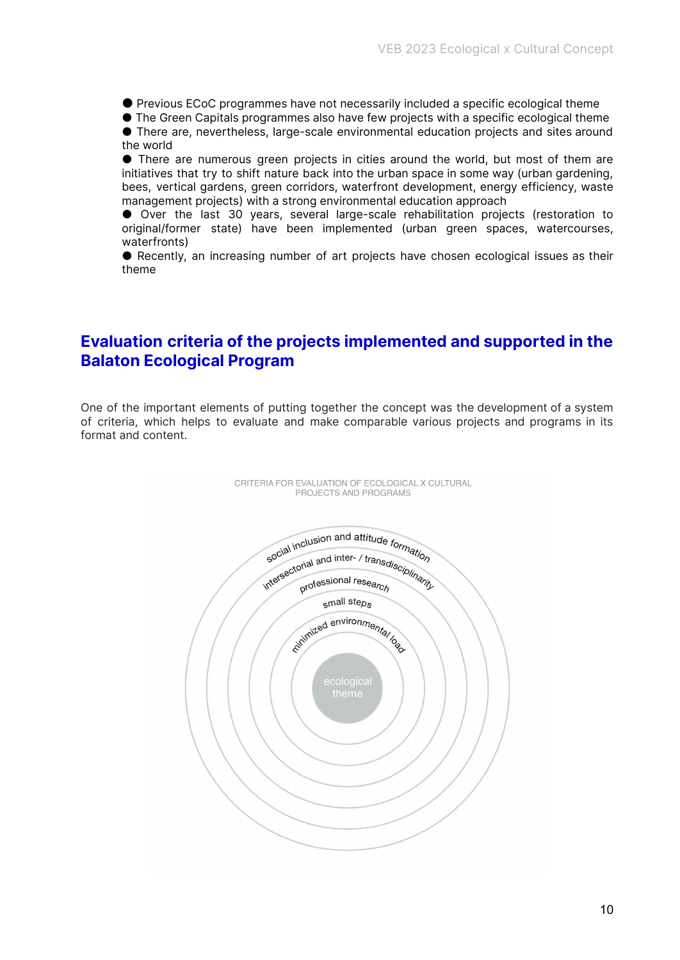● Previous ECoC programmes have not necessarily included a specific ecological theme

● The Green Capitals programmes also have few projects with a specific ecological theme

● There are, nevertheless, large-scale environmental education projects and sites around the world

● There are numerous green projects in cities around the world, but most of them are initiatives that try to shift nature back into the urban space in some way (urban gardening, bees, vertical gardens, green corridors, waterfront development, energy efficiency, waste management projects) with a strong environmental education approach

● Over the last 30 years, several large-scale rehabilitation projects (restoration to original/former state) have been implemented (urban green spaces, watercourses, waterfronts)

● Recently, an increasing number of art projects have chosen ecological issues as their theme

## **Evaluation criteria of the projects implemented and supported in the Balaton Ecological Program**

One of the important elements of putting together the concept was the development of a system of criteria, which helps to evaluate and make comparable various projects and programs in its format and content.



CRITERIA FOR EVALUATION OF ECOLOGICAL X CULTURAL PROJECTS AND PROGRAMS